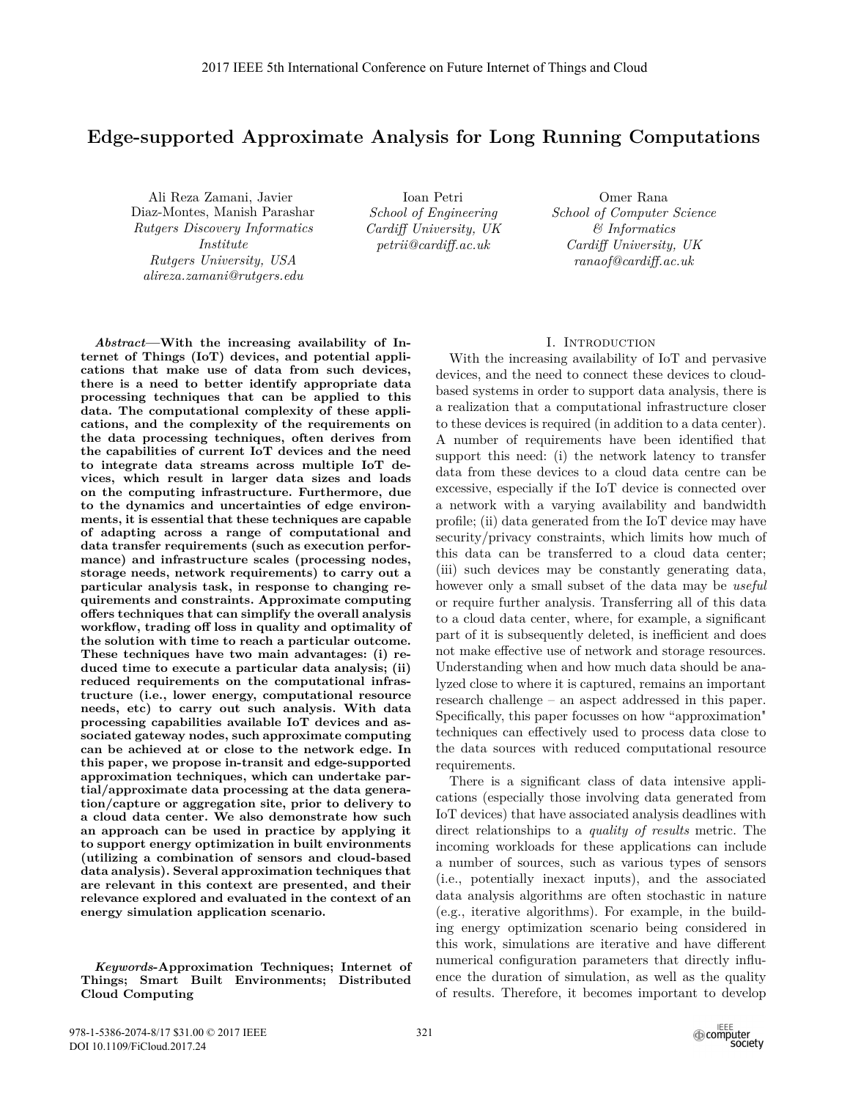# **Edge-supported Approximate Analysis for Long Running Computations**

Ali Reza Zamani, Javier Diaz-Montes, Manish Parashar *Rutgers Discovery Informatics Institute Rutgers University, USA alireza.zamani@rutgers.edu*

Ioan Petri *School of Engineering Cardiff University, UK petrii@cardiff.ac.uk*

Omer Rana *School of Computer Science & Informatics Cardiff University, UK ranaof@cardiff.ac.uk*

### *Abstract***—With the increasing availability of Internet of Things (IoT) devices, and potential applications that make use of data from such devices, there is a need to better identify appropriate data processing techniques that can be applied to this data. The computational complexity of these applications, and the complexity of the requirements on the data processing techniques, often derives from the capabilities of current IoT devices and the need to integrate data streams across multiple IoT devices, which result in larger data sizes and loads on the computing infrastructure. Furthermore, due to the dynamics and uncertainties of edge environments, it is essential that these techniques are capable of adapting across a range of computational and data transfer requirements (such as execution performance) and infrastructure scales (processing nodes, storage needs, network requirements) to carry out a particular analysis task, in response to changing requirements and constraints. Approximate computing offers techniques that can simplify the overall analysis workflow, trading off loss in quality and optimality of the solution with time to reach a particular outcome. These techniques have two main advantages: (i) reduced time to execute a particular data analysis; (ii) reduced requirements on the computational infrastructure (i.e., lower energy, computational resource needs, etc) to carry out such analysis. With data processing capabilities available IoT devices and associated gateway nodes, such approximate computing can be achieved at or close to the network edge. In this paper, we propose in-transit and edge-supported approximation techniques, which can undertake partial/approximate data processing at the data generation/capture or aggregation site, prior to delivery to a cloud data center. We also demonstrate how such an approach can be used in practice by applying it to support energy optimization in built environments (utilizing a combination of sensors and cloud-based data analysis). Several approximation techniques that are relevant in this context are presented, and their relevance explored and evaluated in the context of an energy simulation application scenario.**

*Keywords***-Approximation Techniques; Internet of Things; Smart Built Environments; Distributed Cloud Computing**

#### I. Introduction

With the increasing availability of IoT and pervasive devices, and the need to connect these devices to cloudbased systems in order to support data analysis, there is a realization that a computational infrastructure closer to these devices is required (in addition to a data center). A number of requirements have been identified that support this need: (i) the network latency to transfer data from these devices to a cloud data centre can be excessive, especially if the IoT device is connected over a network with a varying availability and bandwidth profile; (ii) data generated from the IoT device may have security/privacy constraints, which limits how much of this data can be transferred to a cloud data center; (iii) such devices may be constantly generating data, however only a small subset of the data may be *useful* or require further analysis. Transferring all of this data to a cloud data center, where, for example, a significant part of it is subsequently deleted, is inefficient and does not make effective use of network and storage resources. Understanding when and how much data should be analyzed close to where it is captured, remains an important research challenge – an aspect addressed in this paper. Specifically, this paper focusses on how "approximation" techniques can effectively used to process data close to the data sources with reduced computational resource requirements.

There is a significant class of data intensive applications (especially those involving data generated from IoT devices) that have associated analysis deadlines with direct relationships to a *quality of results* metric. The incoming workloads for these applications can include a number of sources, such as various types of sensors (i.e., potentially inexact inputs), and the associated data analysis algorithms are often stochastic in nature (e.g., iterative algorithms). For example, in the building energy optimization scenario being considered in this work, simulations are iterative and have different numerical configuration parameters that directly influence the duration of simulation, as well as the quality of results. Therefore, it becomes important to develop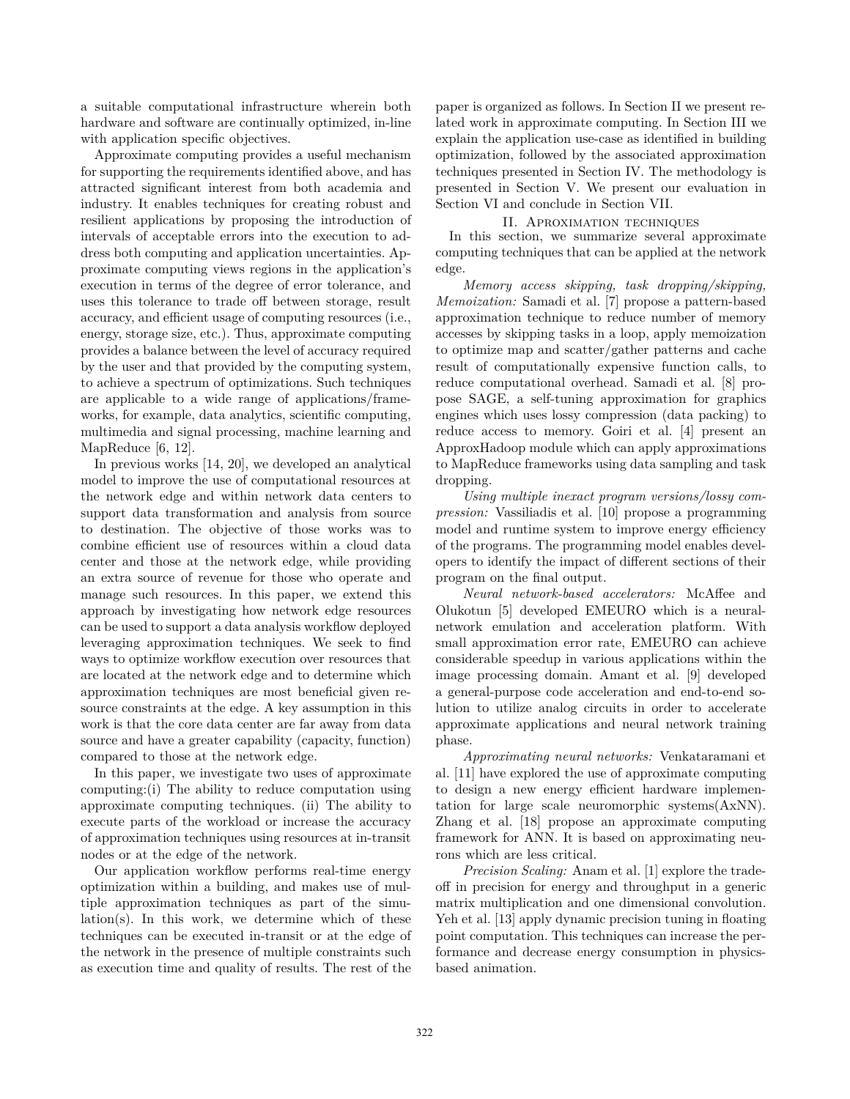a suitable computational infrastructure wherein both hardware and software are continually optimized, in-line with application specific objectives.

Approximate computing provides a useful mechanism for supporting the requirements identified above, and has attracted significant interest from both academia and industry. It enables techniques for creating robust and resilient applications by proposing the introduction of intervals of acceptable errors into the execution to address both computing and application uncertainties. Approximate computing views regions in the application's execution in terms of the degree of error tolerance, and uses this tolerance to trade off between storage, result accuracy, and efficient usage of computing resources (i.e., energy, storage size, etc.). Thus, approximate computing provides a balance between the level of accuracy required by the user and that provided by the computing system, to achieve a spectrum of optimizations. Such techniques are applicable to a wide range of applications/frameworks, for example, data analytics, scientific computing, multimedia and signal processing, machine learning and MapReduce [6, 12].

In previous works [14, 20], we developed an analytical model to improve the use of computational resources at the network edge and within network data centers to support data transformation and analysis from source to destination. The objective of those works was to combine efficient use of resources within a cloud data center and those at the network edge, while providing an extra source of revenue for those who operate and manage such resources. In this paper, we extend this approach by investigating how network edge resources can be used to support a data analysis workflow deployed leveraging approximation techniques. We seek to find ways to optimize workflow execution over resources that are located at the network edge and to determine which approximation techniques are most beneficial given resource constraints at the edge. A key assumption in this work is that the core data center are far away from data source and have a greater capability (capacity, function) compared to those at the network edge.

In this paper, we investigate two uses of approximate computing:(i) The ability to reduce computation using approximate computing techniques. (ii) The ability to execute parts of the workload or increase the accuracy of approximation techniques using resources at in-transit nodes or at the edge of the network.

Our application workflow performs real-time energy optimization within a building, and makes use of multiple approximation techniques as part of the simulation(s). In this work, we determine which of these techniques can be executed in-transit or at the edge of the network in the presence of multiple constraints such as execution time and quality of results. The rest of the

paper is organized as follows. In Section II we present related work in approximate computing. In Section III we explain the application use-case as identified in building optimization, followed by the associated approximation techniques presented in Section IV. The methodology is presented in Section V. We present our evaluation in Section VI and conclude in Section VII.

# II. Aproximation techniques

In this section, we summarize several approximate computing techniques that can be applied at the network edge.

*Memory access skipping, task dropping/skipping, Memoization:* Samadi et al. [7] propose a pattern-based approximation technique to reduce number of memory accesses by skipping tasks in a loop, apply memoization to optimize map and scatter/gather patterns and cache result of computationally expensive function calls, to reduce computational overhead. Samadi et al. [8] propose SAGE, a self-tuning approximation for graphics engines which uses lossy compression (data packing) to reduce access to memory. Goiri et al. [4] present an ApproxHadoop module which can apply approximations to MapReduce frameworks using data sampling and task dropping.

*Using multiple inexact program versions/lossy compression:* Vassiliadis et al. [10] propose a programming model and runtime system to improve energy efficiency of the programs. The programming model enables developers to identify the impact of different sections of their program on the final output.

*Neural network-based accelerators:* McAffee and Olukotun [5] developed EMEURO which is a neuralnetwork emulation and acceleration platform. With small approximation error rate, EMEURO can achieve considerable speedup in various applications within the image processing domain. Amant et al. [9] developed a general-purpose code acceleration and end-to-end solution to utilize analog circuits in order to accelerate approximate applications and neural network training phase.

*Approximating neural networks:* Venkataramani et al. [11] have explored the use of approximate computing to design a new energy efficient hardware implementation for large scale neuromorphic systems(AxNN). Zhang et al. [18] propose an approximate computing framework for ANN. It is based on approximating neurons which are less critical.

*Precision Scaling:* Anam et al. [1] explore the tradeoff in precision for energy and throughput in a generic matrix multiplication and one dimensional convolution. Yeh et al. [13] apply dynamic precision tuning in floating point computation. This techniques can increase the performance and decrease energy consumption in physicsbased animation.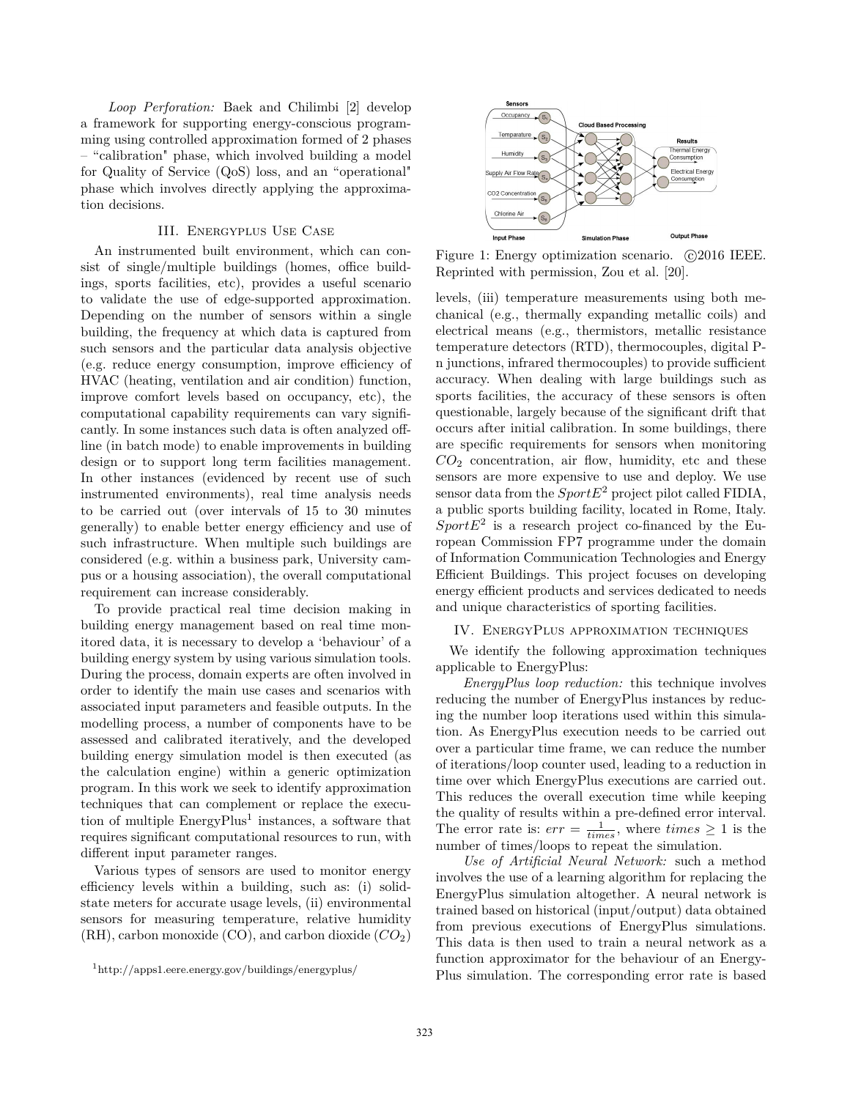*Loop Perforation:* Baek and Chilimbi [2] develop a framework for supporting energy-conscious programming using controlled approximation formed of 2 phases – "calibration" phase, which involved building a model for Quality of Service (QoS) loss, and an "operational" phase which involves directly applying the approximation decisions.

# III. Energyplus Use Case

An instrumented built environment, which can consist of single/multiple buildings (homes, office buildings, sports facilities, etc), provides a useful scenario to validate the use of edge-supported approximation. Depending on the number of sensors within a single building, the frequency at which data is captured from such sensors and the particular data analysis objective (e.g. reduce energy consumption, improve efficiency of HVAC (heating, ventilation and air condition) function, improve comfort levels based on occupancy, etc), the computational capability requirements can vary significantly. In some instances such data is often analyzed offline (in batch mode) to enable improvements in building design or to support long term facilities management. In other instances (evidenced by recent use of such instrumented environments), real time analysis needs to be carried out (over intervals of 15 to 30 minutes generally) to enable better energy efficiency and use of such infrastructure. When multiple such buildings are considered (e.g. within a business park, University campus or a housing association), the overall computational requirement can increase considerably.

To provide practical real time decision making in building energy management based on real time monitored data, it is necessary to develop a 'behaviour' of a building energy system by using various simulation tools. During the process, domain experts are often involved in order to identify the main use cases and scenarios with associated input parameters and feasible outputs. In the modelling process, a number of components have to be assessed and calibrated iteratively, and the developed building energy simulation model is then executed (as the calculation engine) within a generic optimization program. In this work we seek to identify approximation techniques that can complement or replace the execution of multiple  $EnergyPlus<sup>1</sup> instances, a software that$ requires significant computational resources to run, with different input parameter ranges.

Various types of sensors are used to monitor energy efficiency levels within a building, such as: (i) solidstate meters for accurate usage levels, (ii) environmental sensors for measuring temperature, relative humidity (RH), carbon monoxide (CO), and carbon dioxide (*CO*2)



Figure 1: Energy optimization scenario. ©2016 IEEE. Reprinted with permission, Zou et al. [20].

levels, (iii) temperature measurements using both mechanical (e.g., thermally expanding metallic coils) and electrical means (e.g., thermistors, metallic resistance temperature detectors (RTD), thermocouples, digital Pn junctions, infrared thermocouples) to provide sufficient accuracy. When dealing with large buildings such as sports facilities, the accuracy of these sensors is often questionable, largely because of the significant drift that occurs after initial calibration. In some buildings, there are specific requirements for sensors when monitoring  $CO<sub>2</sub>$  concentration, air flow, humidity, etc and these sensors are more expensive to use and deploy. We use sensor data from the *SportE*<sup>2</sup> project pilot called FIDIA, a public sports building facility, located in Rome, Italy.  $SortE<sup>2</sup>$  is a research project co-financed by the European Commission FP7 programme under the domain of Information Communication Technologies and Energy Efficient Buildings. This project focuses on developing energy efficient products and services dedicated to needs and unique characteristics of sporting facilities.

#### IV. EnergyPlus approximation techniques

We identify the following approximation techniques applicable to EnergyPlus:

*EnergyPlus loop reduction:* this technique involves reducing the number of EnergyPlus instances by reducing the number loop iterations used within this simulation. As EnergyPlus execution needs to be carried out over a particular time frame, we can reduce the number of iterations/loop counter used, leading to a reduction in time over which EnergyPlus executions are carried out. This reduces the overall execution time while keeping the quality of results within a pre-defined error interval. The error rate is:  $err = \frac{1}{times}$ , where  $times \ge 1$  is the number of times/loops to repeat the simulation.

*Use of Artificial Neural Network:* such a method involves the use of a learning algorithm for replacing the EnergyPlus simulation altogether. A neural network is trained based on historical (input/output) data obtained from previous executions of EnergyPlus simulations. This data is then used to train a neural network as a function approximator for the behaviour of an Energy-Plus simulation. The corresponding error rate is based

<sup>1</sup>http://apps1.eere.energy.gov/buildings/energyplus/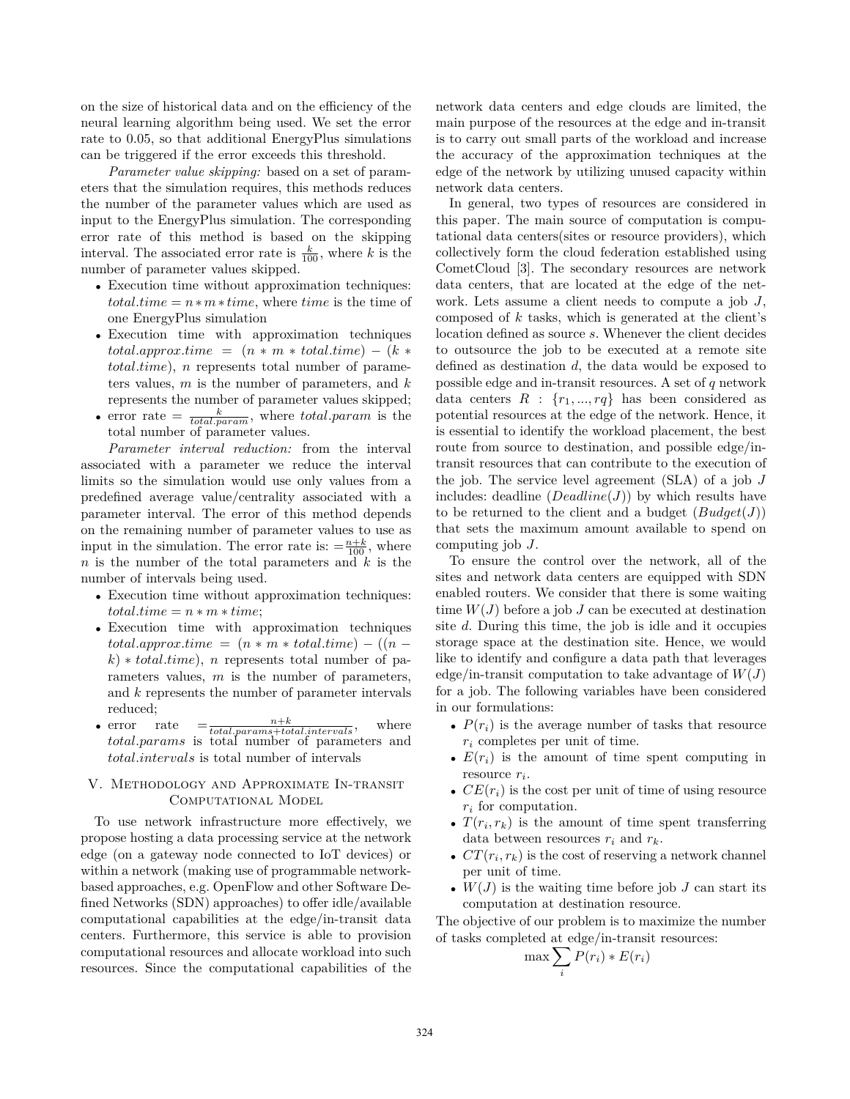on the size of historical data and on the efficiency of the neural learning algorithm being used. We set the error rate to 0.05, so that additional EnergyPlus simulations can be triggered if the error exceeds this threshold.

*Parameter value skipping:* based on a set of parameters that the simulation requires, this methods reduces the number of the parameter values which are used as input to the EnergyPlus simulation. The corresponding error rate of this method is based on the skipping interval. The associated error rate is  $\frac{k}{100}$ , where *k* is the number of parameter values skipped.

- Execution time without approximation techniques:  $total.time = n * m * time$ , where *time* is the time of one EnergyPlus simulation
- Execution time with approximation techniques  $total.appendrx.time = (n * m * total.time) - (k *$ *total.time*), *n* represents total number of parameters values, *m* is the number of parameters, and *k* represents the number of parameter values skipped;
- error rate  $=\frac{k}{total.param}$ , where *total.param* is the total number of parameter values.

*Parameter interval reduction:* from the interval associated with a parameter we reduce the interval limits so the simulation would use only values from a predefined average value/centrality associated with a parameter interval. The error of this method depends on the remaining number of parameter values to use as input in the simulation. The error rate is:  $=$  $\frac{n+k}{100}$ , where *n* is the number of the total parameters and *k* is the number of intervals being used.

- Execution time without approximation techniques:  $total.time = n * m * time;$
- Execution time with approximation techniques  $total.appendx.time = (n * m * total.time) - ((n$ *k*) ∗ *total.time*), *n* represents total number of parameters values, *m* is the number of parameters, and *k* represents the number of parameter intervals reduced;
- error rate  $=\frac{n+k}{total.params + total. intervals}$ , where *total.params* is total number of parameters and *total.intervals* is total number of intervals

# V. Methodology and Approximate In-transit Computational Model

To use network infrastructure more effectively, we propose hosting a data processing service at the network edge (on a gateway node connected to IoT devices) or within a network (making use of programmable networkbased approaches, e.g. OpenFlow and other Software Defined Networks (SDN) approaches) to offer idle/available computational capabilities at the edge/in-transit data centers. Furthermore, this service is able to provision computational resources and allocate workload into such resources. Since the computational capabilities of the

network data centers and edge clouds are limited, the main purpose of the resources at the edge and in-transit is to carry out small parts of the workload and increase the accuracy of the approximation techniques at the edge of the network by utilizing unused capacity within network data centers.

In general, two types of resources are considered in this paper. The main source of computation is computational data centers(sites or resource providers), which collectively form the cloud federation established using CometCloud [3]. The secondary resources are network data centers, that are located at the edge of the network. Lets assume a client needs to compute a job *J*, composed of *k* tasks, which is generated at the client's location defined as source *s*. Whenever the client decides to outsource the job to be executed at a remote site defined as destination *d*, the data would be exposed to possible edge and in-transit resources. A set of *q* network data centers  $R : \{r_1, ..., r_q\}$  has been considered as potential resources at the edge of the network. Hence, it is essential to identify the workload placement, the best route from source to destination, and possible edge/intransit resources that can contribute to the execution of the job. The service level agreement (SLA) of a job *J* includes: deadline  $(Deadline(J))$  by which results have to be returned to the client and a budget  $(Budget(J))$ that sets the maximum amount available to spend on computing job *J*.

To ensure the control over the network, all of the sites and network data centers are equipped with SDN enabled routers. We consider that there is some waiting time  $W(J)$  before a job  $J$  can be executed at destination site *d*. During this time, the job is idle and it occupies storage space at the destination site. Hence, we would like to identify and configure a data path that leverages edge/in-transit computation to take advantage of  $W(J)$ for a job. The following variables have been considered in our formulations:

- $P(r_i)$  is the average number of tasks that resource *r<sup>i</sup>* completes per unit of time.
- $E(r_i)$  is the amount of time spent computing in resource *ri*.
- $CE(r_i)$  is the cost per unit of time of using resource *r<sup>i</sup>* for computation.
- $T(r_i, r_k)$  is the amount of time spent transferring data between resources  $r_i$  and  $r_k$ .
- $CT(r_i, r_k)$  is the cost of reserving a network channel per unit of time.
- $W(J)$  is the waiting time before job  $J$  can start its computation at destination resource.

The objective of our problem is to maximize the number of tasks completed at edge/in-transit resources:

$$
\max \sum_{i} P(r_i) * E(r_i)
$$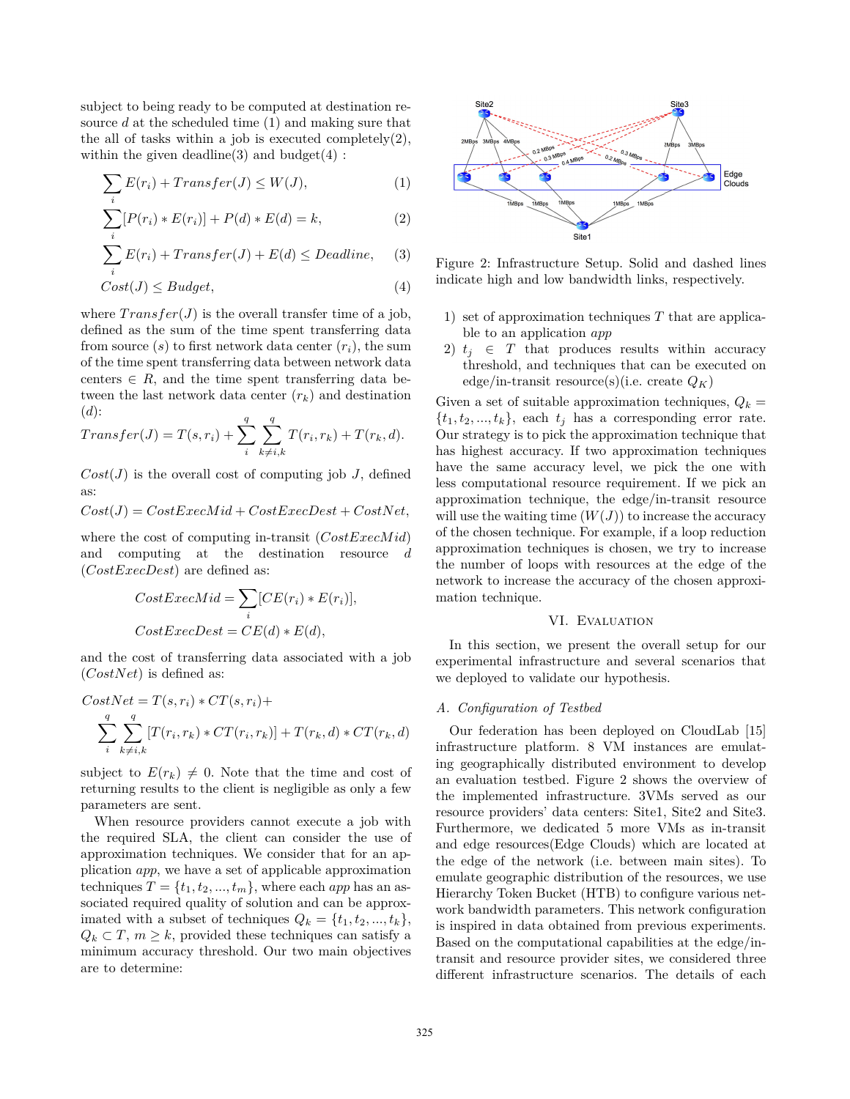subject to being ready to be computed at destination resource *d* at the scheduled time (1) and making sure that the all of tasks within a job is executed completely $(2)$ , within the given deadline(3) and budget $(4)$ :

$$
\sum_{i} E(r_i) + Transfer(J) \le W(J),\tag{1}
$$

$$
\sum_{i} [P(r_i) * E(r_i)] + P(d) * E(d) = k,
$$
\n(2)

$$
\sum_{i} E(r_i) + Transfer(J) + E(d) \leq Deadline, \quad (3)
$$

$$
Cost(J) \leq Budget,\tag{4}
$$

where  $Transfer(J)$  is the overall transfer time of a job, defined as the sum of the time spent transferring data from source  $(s)$  to first network data center  $(r_i)$ , the sum of the time spent transferring data between network data centers  $\in$  *R*, and the time spent transferring data between the last network data center  $(r_k)$  and destination (*d*):

$$
Transfer(J) = T(s,r_i) + \sum_{i}^{q} \sum_{k \neq i,k}^{q} T(r_i,r_k) + T(r_k,d).
$$

 $Cost(J)$  is the overall cost of computing job *J*, defined as:

$$
Cost(J)=CostExecMid+CostExecDest+CostNet,\\
$$

where the cost of computing in-transit (*CostExecMid*) and computing at the destination resource *d* (*CostExecDest*) are defined as:

$$
CostExecMid = \sum_{i} [CE(r_i) * E(r_i)],
$$
  

$$
CostExecDest = CE(d) * E(d),
$$

and the cost of transferring data associated with a job (*CostNet*) is defined as:

$$
CostNet = T(s, r_i) * CT(s, r_i) +
$$
  

$$
\sum_{i}^{q} \sum_{k \neq i,k}^{q} [T(r_i, r_k) * CT(r_i, r_k)] + T(r_k, d) * CT(r_k, d)
$$

subject to  $E(r_k) \neq 0$ . Note that the time and cost of returning results to the client is negligible as only a few parameters are sent.

When resource providers cannot execute a job with the required SLA, the client can consider the use of approximation techniques. We consider that for an application *app*, we have a set of applicable approximation techniques  $T = \{t_1, t_2, ..., t_m\}$ , where each *app* has an associated required quality of solution and can be approximated with a subset of techniques  $Q_k = \{t_1, t_2, ..., t_k\},\$  $Q_k \subset T$ ,  $m \geq k$ , provided these techniques can satisfy a minimum accuracy threshold. Our two main objectives are to determine:



Figure 2: Infrastructure Setup. Solid and dashed lines indicate high and low bandwidth links, respectively.

- 1) set of approximation techniques *T* that are applicable to an application *app*
- 2)  $t_i \in T$  that produces results within accuracy threshold, and techniques that can be executed on edge/in-transit resource(s)(i.e. create *QK*)

Given a set of suitable approximation techniques,  $Q_k =$  $\{t_1, t_2, ..., t_k\}$ , each  $t_j$  has a corresponding error rate. Our strategy is to pick the approximation technique that has highest accuracy. If two approximation techniques have the same accuracy level, we pick the one with less computational resource requirement. If we pick an approximation technique, the edge/in-transit resource will use the waiting time  $(W(J))$  to increase the accuracy of the chosen technique. For example, if a loop reduction approximation techniques is chosen, we try to increase the number of loops with resources at the edge of the network to increase the accuracy of the chosen approximation technique.

#### VI. Evaluation

In this section, we present the overall setup for our experimental infrastructure and several scenarios that we deployed to validate our hypothesis.

#### *A. Configuration of Testbed*

Our federation has been deployed on CloudLab [15] infrastructure platform. 8 VM instances are emulating geographically distributed environment to develop an evaluation testbed. Figure 2 shows the overview of the implemented infrastructure. 3VMs served as our resource providers' data centers: Site1, Site2 and Site3. Furthermore, we dedicated 5 more VMs as in-transit and edge resources(Edge Clouds) which are located at the edge of the network (i.e. between main sites). To emulate geographic distribution of the resources, we use Hierarchy Token Bucket (HTB) to configure various network bandwidth parameters. This network configuration is inspired in data obtained from previous experiments. Based on the computational capabilities at the edge/intransit and resource provider sites, we considered three different infrastructure scenarios. The details of each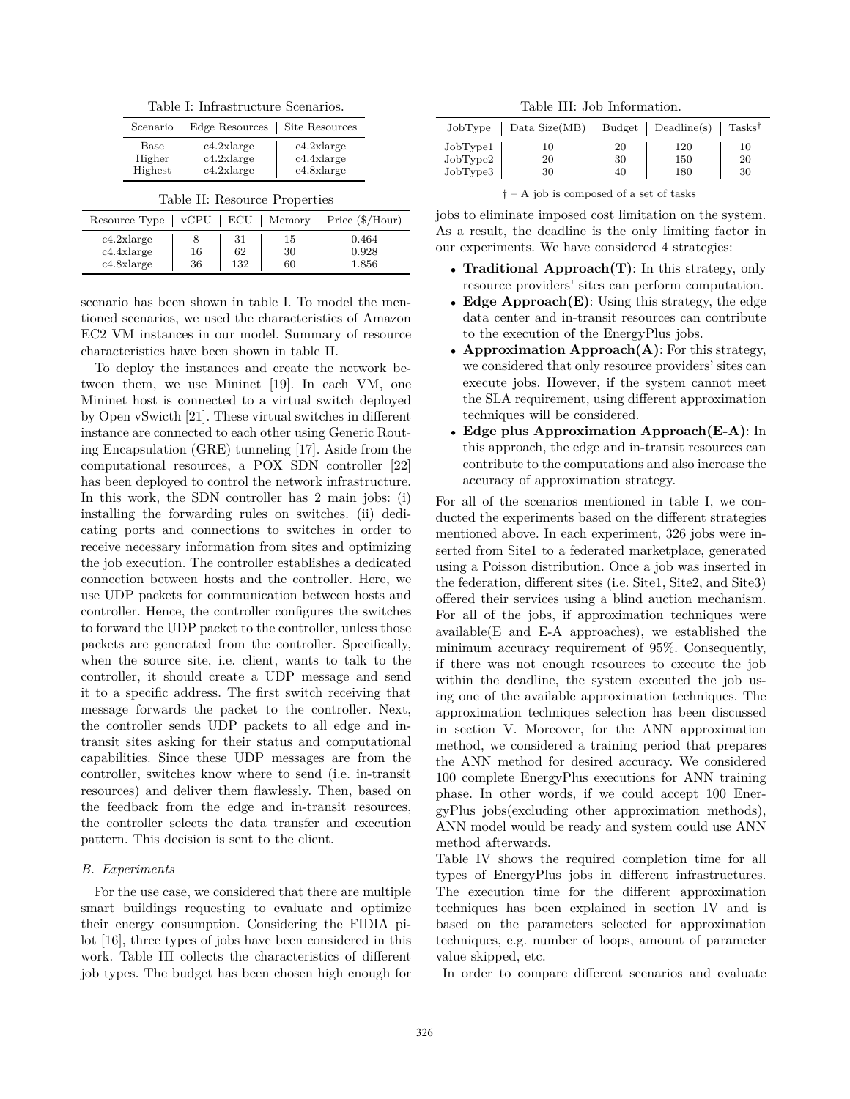| Table I: Infrastructure Scenarios. |  |
|------------------------------------|--|
|------------------------------------|--|

|         | Scenario   Edge Resources | Site Resources |
|---------|---------------------------|----------------|
| Base    | c4.2xlarge                | c4.2xlarge     |
| Higher  | c4.2xlarge                | c4.4xlarge     |
| Highest | c4.2xlarge                | c4.8xlarge     |

| Table II: Resource Properties |    |     |    |                                                                                                            |  |  |
|-------------------------------|----|-----|----|------------------------------------------------------------------------------------------------------------|--|--|
|                               |    |     |    | Resource Type $\vert \nabla \text{CPU} \vert$ ECU $\vert$ Memory $\vert \nabla \text{Fice (§/Hour)} \vert$ |  |  |
| c4.2xlarge                    |    | -31 | 15 | 0.464                                                                                                      |  |  |
| c4.4xlarge                    | 16 | 62  | 30 | 0.928                                                                                                      |  |  |
| c4.8xlarge                    | 36 | 132 | 60 | 1.856                                                                                                      |  |  |

scenario has been shown in table I. To model the mentioned scenarios, we used the characteristics of Amazon EC2 VM instances in our model. Summary of resource characteristics have been shown in table II.

To deploy the instances and create the network between them, we use Mininet [19]. In each VM, one Mininet host is connected to a virtual switch deployed by Open vSwicth [21]. These virtual switches in different instance are connected to each other using Generic Routing Encapsulation (GRE) tunneling [17]. Aside from the computational resources, a POX SDN controller [22] has been deployed to control the network infrastructure. In this work, the SDN controller has 2 main jobs: (i) installing the forwarding rules on switches. (ii) dedicating ports and connections to switches in order to receive necessary information from sites and optimizing the job execution. The controller establishes a dedicated connection between hosts and the controller. Here, we use UDP packets for communication between hosts and controller. Hence, the controller configures the switches to forward the UDP packet to the controller, unless those packets are generated from the controller. Specifically, when the source site, i.e. client, wants to talk to the controller, it should create a UDP message and send it to a specific address. The first switch receiving that message forwards the packet to the controller. Next, the controller sends UDP packets to all edge and intransit sites asking for their status and computational capabilities. Since these UDP messages are from the controller, switches know where to send (i.e. in-transit resources) and deliver them flawlessly. Then, based on the feedback from the edge and in-transit resources, the controller selects the data transfer and execution pattern. This decision is sent to the client.

### *B. Experiments*

For the use case, we considered that there are multiple smart buildings requesting to evaluate and optimize their energy consumption. Considering the FIDIA pilot [16], three types of jobs have been considered in this work. Table III collects the characteristics of different job types. The budget has been chosen high enough for

Table III: Job Information.

| JobType  | Data Size(MB)   Budget   Deadline(s) |    |     | Tasks |
|----------|--------------------------------------|----|-----|-------|
| JobType1 | 10                                   | 20 | 120 | 10    |
| JobType2 | 20                                   | 30 | 150 | 20    |
| JobType3 | 30                                   | 40 | 180 | 30    |

 $\dagger$  – A job is composed of a set of tasks

jobs to eliminate imposed cost limitation on the system. As a result, the deadline is the only limiting factor in our experiments. We have considered 4 strategies:

- **Traditional Approach(T)**: In this strategy, only resource providers' sites can perform computation.
- **Edge Approach(E)**: Using this strategy, the edge data center and in-transit resources can contribute to the execution of the EnergyPlus jobs.
- **Approximation Approach(A)**: For this strategy, we considered that only resource providers' sites can execute jobs. However, if the system cannot meet the SLA requirement, using different approximation techniques will be considered.
- **Edge plus Approximation Approach(E-A)**: In this approach, the edge and in-transit resources can contribute to the computations and also increase the accuracy of approximation strategy.

For all of the scenarios mentioned in table I, we conducted the experiments based on the different strategies mentioned above. In each experiment, 326 jobs were inserted from Site1 to a federated marketplace, generated using a Poisson distribution. Once a job was inserted in the federation, different sites (i.e. Site1, Site2, and Site3) offered their services using a blind auction mechanism. For all of the jobs, if approximation techniques were available(E and E-A approaches), we established the minimum accuracy requirement of 95%. Consequently, if there was not enough resources to execute the job within the deadline, the system executed the job using one of the available approximation techniques. The approximation techniques selection has been discussed in section V. Moreover, for the ANN approximation method, we considered a training period that prepares the ANN method for desired accuracy. We considered 100 complete EnergyPlus executions for ANN training phase. In other words, if we could accept 100 EnergyPlus jobs(excluding other approximation methods), ANN model would be ready and system could use ANN method afterwards.

Table IV shows the required completion time for all types of EnergyPlus jobs in different infrastructures. The execution time for the different approximation techniques has been explained in section IV and is based on the parameters selected for approximation techniques, e.g. number of loops, amount of parameter value skipped, etc.

In order to compare different scenarios and evaluate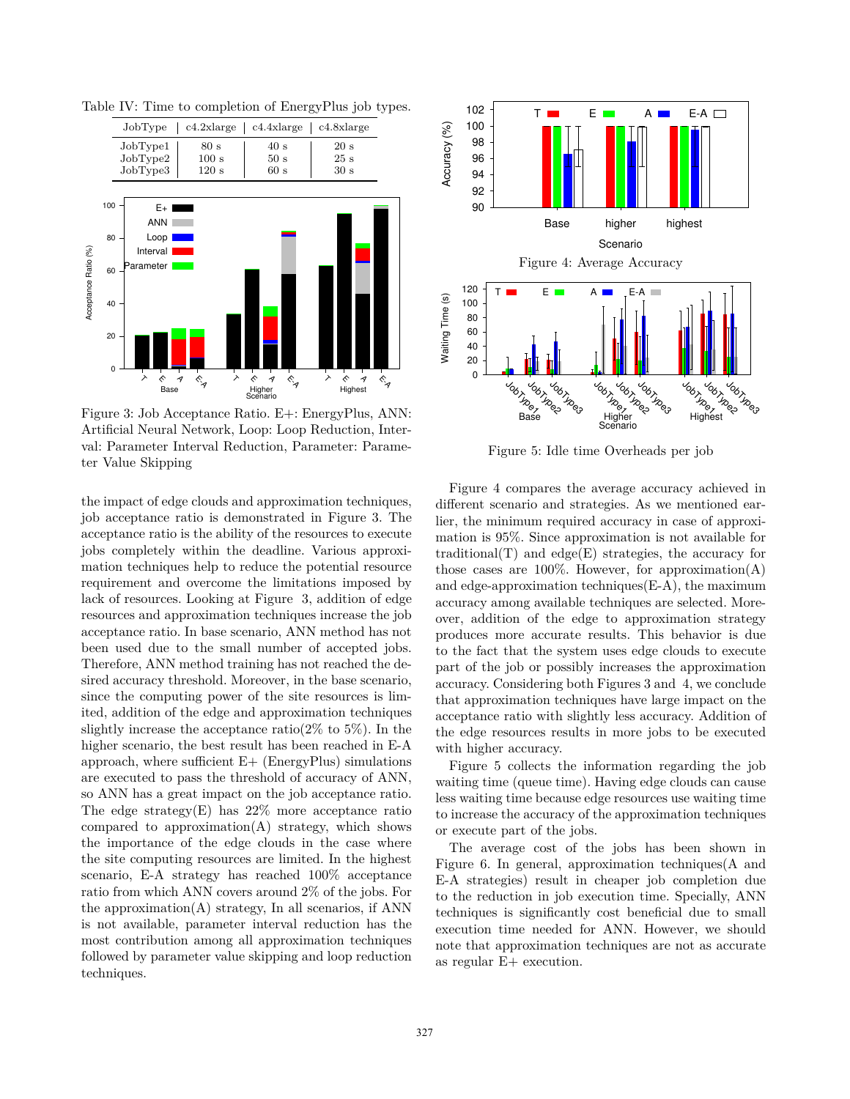

Table IV: Time to completion of EnergyPlus job types.

Figure 3: Job Acceptance Ratio. E+: EnergyPlus, ANN: Artificial Neural Network, Loop: Loop Reduction, Interval: Parameter Interval Reduction, Parameter: Parameter Value Skipping

the impact of edge clouds and approximation techniques, job acceptance ratio is demonstrated in Figure 3. The acceptance ratio is the ability of the resources to execute jobs completely within the deadline. Various approximation techniques help to reduce the potential resource requirement and overcome the limitations imposed by lack of resources. Looking at Figure 3, addition of edge resources and approximation techniques increase the job acceptance ratio. In base scenario, ANN method has not been used due to the small number of accepted jobs. Therefore, ANN method training has not reached the desired accuracy threshold. Moreover, in the base scenario, since the computing power of the site resources is limited, addition of the edge and approximation techniques slightly increase the acceptance ratio( $2\%$  to  $5\%$ ). In the higher scenario, the best result has been reached in E-A approach, where sufficient  $E+$  (EnergyPlus) simulations are executed to pass the threshold of accuracy of ANN, so ANN has a great impact on the job acceptance ratio. The edge strategy $(E)$  has  $22\%$  more acceptance ratio compared to approximation $(A)$  strategy, which shows the importance of the edge clouds in the case where the site computing resources are limited. In the highest scenario, E-A strategy has reached 100% acceptance ratio from which ANN covers around 2% of the jobs. For the approximation $(A)$  strategy, In all scenarios, if ANN is not available, parameter interval reduction has the most contribution among all approximation techniques followed by parameter value skipping and loop reduction techniques.



Figure 5: Idle time Overheads per job

Figure 4 compares the average accuracy achieved in different scenario and strategies. As we mentioned earlier, the minimum required accuracy in case of approximation is 95%. Since approximation is not available for traditional(T) and edge(E) strategies, the accuracy for those cases are  $100\%$ . However, for approximation(A) and edge-approximation techniques(E-A), the maximum accuracy among available techniques are selected. Moreover, addition of the edge to approximation strategy produces more accurate results. This behavior is due to the fact that the system uses edge clouds to execute part of the job or possibly increases the approximation accuracy. Considering both Figures 3 and 4, we conclude that approximation techniques have large impact on the acceptance ratio with slightly less accuracy. Addition of the edge resources results in more jobs to be executed with higher accuracy.

Figure 5 collects the information regarding the job waiting time (queue time). Having edge clouds can cause less waiting time because edge resources use waiting time to increase the accuracy of the approximation techniques or execute part of the jobs.

The average cost of the jobs has been shown in Figure 6. In general, approximation techniques(A and E-A strategies) result in cheaper job completion due to the reduction in job execution time. Specially, ANN techniques is significantly cost beneficial due to small execution time needed for ANN. However, we should note that approximation techniques are not as accurate as regular E+ execution.